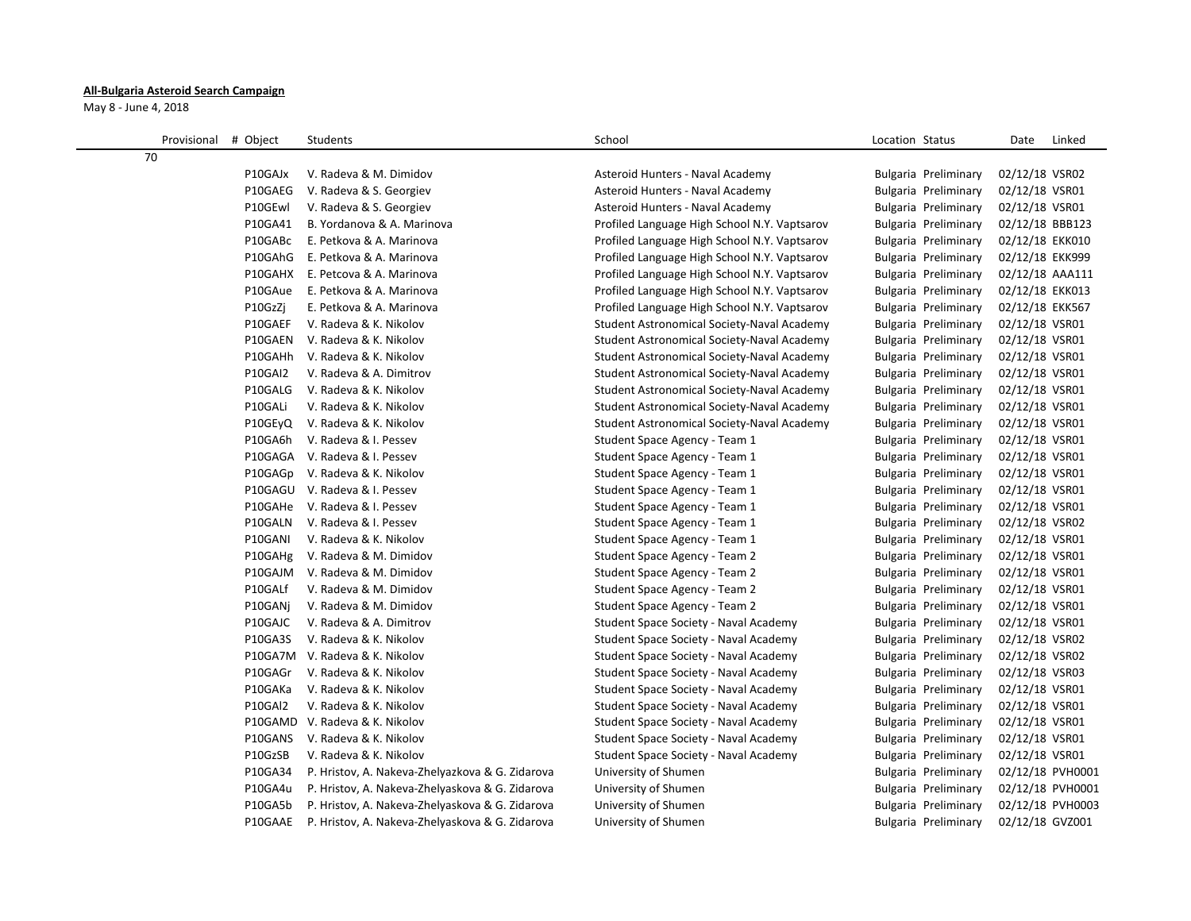## **All-Bulgaria Asteroid Search Campaign**

May 8 - June 4, 2018

| Provisional<br># Object | Students                                        | School                                       | Location Status      | Date<br>Linked   |
|-------------------------|-------------------------------------------------|----------------------------------------------|----------------------|------------------|
| 70                      |                                                 |                                              |                      |                  |
| P10GAJx                 | V. Radeva & M. Dimidov                          | Asteroid Hunters - Naval Academy             | Bulgaria Preliminary | 02/12/18 VSR02   |
| P10GAEG                 | V. Radeva & S. Georgiev                         | Asteroid Hunters - Naval Academy             | Bulgaria Preliminary | 02/12/18 VSR01   |
| P10GEwl                 | V. Radeva & S. Georgiev                         | Asteroid Hunters - Naval Academy             | Bulgaria Preliminary | 02/12/18 VSR01   |
| P10GA41                 | B. Yordanova & A. Marinova                      | Profiled Language High School N.Y. Vaptsarov | Bulgaria Preliminary | 02/12/18 BBB123  |
| P10GABc                 | E. Petkova & A. Marinova                        | Profiled Language High School N.Y. Vaptsarov | Bulgaria Preliminary | 02/12/18 EKK010  |
| P10GAhG                 | E. Petkova & A. Marinova                        | Profiled Language High School N.Y. Vaptsarov | Bulgaria Preliminary | 02/12/18 EKK999  |
| P10GAHX                 | E. Petcova & A. Marinova                        | Profiled Language High School N.Y. Vaptsarov | Bulgaria Preliminary | 02/12/18 AAA111  |
| P10GAue                 | E. Petkova & A. Marinova                        | Profiled Language High School N.Y. Vaptsarov | Bulgaria Preliminary | 02/12/18 EKK013  |
| P10GzZi                 | E. Petkova & A. Marinova                        | Profiled Language High School N.Y. Vaptsarov | Bulgaria Preliminary | 02/12/18 EKK567  |
| P10GAEF                 | V. Radeva & K. Nikolov                          | Student Astronomical Society-Naval Academy   | Bulgaria Preliminary | 02/12/18 VSR01   |
| P10GAEN                 | V. Radeva & K. Nikolov                          | Student Astronomical Society-Naval Academy   | Bulgaria Preliminary | 02/12/18 VSR01   |
| P10GAHh                 | V. Radeva & K. Nikolov                          | Student Astronomical Society-Naval Academy   | Bulgaria Preliminary | 02/12/18 VSR01   |
| P10GAI2                 | V. Radeva & A. Dimitrov                         | Student Astronomical Society-Naval Academy   | Bulgaria Preliminary | 02/12/18 VSR01   |
| P10GALG                 | V. Radeva & K. Nikolov                          | Student Astronomical Society-Naval Academy   | Bulgaria Preliminary | 02/12/18 VSR01   |
| P10GALi                 | V. Radeva & K. Nikolov                          | Student Astronomical Society-Naval Academy   | Bulgaria Preliminary | 02/12/18 VSR01   |
| P10GEyQ                 | V. Radeva & K. Nikolov                          | Student Astronomical Society-Naval Academy   | Bulgaria Preliminary | 02/12/18 VSR01   |
| P10GA6h                 | V. Radeva & I. Pessev                           | Student Space Agency - Team 1                | Bulgaria Preliminary | 02/12/18 VSR01   |
| P10GAGA                 | V. Radeva & I. Pessev                           | Student Space Agency - Team 1                | Bulgaria Preliminary | 02/12/18 VSR01   |
| P10GAGp                 | V. Radeva & K. Nikolov                          | Student Space Agency - Team 1                | Bulgaria Preliminary | 02/12/18 VSR01   |
| P10GAGU                 | V. Radeva & I. Pessev                           | Student Space Agency - Team 1                | Bulgaria Preliminary | 02/12/18 VSR01   |
| P10GAHe                 | V. Radeva & I. Pessev                           | Student Space Agency - Team 1                | Bulgaria Preliminary | 02/12/18 VSR01   |
| P10GALN                 | V. Radeva & I. Pessev                           | Student Space Agency - Team 1                | Bulgaria Preliminary | 02/12/18 VSR02   |
| P10GANI                 | V. Radeva & K. Nikolov                          | Student Space Agency - Team 1                | Bulgaria Preliminary | 02/12/18 VSR01   |
| P10GAHg                 | V. Radeva & M. Dimidov                          | Student Space Agency - Team 2                | Bulgaria Preliminary | 02/12/18 VSR01   |
| P10GAJM                 | V. Radeva & M. Dimidov                          | Student Space Agency - Team 2                | Bulgaria Preliminary | 02/12/18 VSR01   |
| P10GALf                 | V. Radeva & M. Dimidov                          | Student Space Agency - Team 2                | Bulgaria Preliminary | 02/12/18 VSR01   |
| P10GANj                 | V. Radeva & M. Dimidov                          | Student Space Agency - Team 2                | Bulgaria Preliminary | 02/12/18 VSR01   |
| P10GAJC                 | V. Radeva & A. Dimitrov                         | Student Space Society - Naval Academy        | Bulgaria Preliminary | 02/12/18 VSR01   |
| P10GA3S                 | V. Radeva & K. Nikolov                          | Student Space Society - Naval Academy        | Bulgaria Preliminary | 02/12/18 VSR02   |
| P10GA7M                 | V. Radeva & K. Nikolov                          | Student Space Society - Naval Academy        | Bulgaria Preliminary | 02/12/18 VSR02   |
| P10GAGr                 | V. Radeva & K. Nikolov                          | Student Space Society - Naval Academy        | Bulgaria Preliminary | 02/12/18 VSR03   |
| P10GAKa                 | V. Radeva & K. Nikolov                          | Student Space Society - Naval Academy        | Bulgaria Preliminary | 02/12/18 VSR01   |
| P10GAI2                 | V. Radeva & K. Nikolov                          | Student Space Society - Naval Academy        | Bulgaria Preliminary | 02/12/18 VSR01   |
| P10GAMD                 | V. Radeva & K. Nikolov                          | Student Space Society - Naval Academy        | Bulgaria Preliminary | 02/12/18 VSR01   |
| P10GANS                 | V. Radeva & K. Nikolov                          | Student Space Society - Naval Academy        | Bulgaria Preliminary | 02/12/18 VSR01   |
| P10GzSB                 | V. Radeva & K. Nikolov                          | Student Space Society - Naval Academy        | Bulgaria Preliminary | 02/12/18 VSR01   |
| P10GA34                 | P. Hristov, A. Nakeva-Zhelyazkova & G. Zidarova | University of Shumen                         | Bulgaria Preliminary | 02/12/18 PVH0001 |
| P10GA4u                 | P. Hristov, A. Nakeva-Zhelyaskova & G. Zidarova | University of Shumen                         | Bulgaria Preliminary | 02/12/18 PVH0001 |
| P10GA5b                 | P. Hristov, A. Nakeva-Zhelyaskova & G. Zidarova | University of Shumen                         | Bulgaria Preliminary | 02/12/18 PVH0003 |
| P10GAAE                 | P. Hristov, A. Nakeva-Zhelyaskova & G. Zidarova | University of Shumen                         | Bulgaria Preliminary | 02/12/18 GVZ001  |